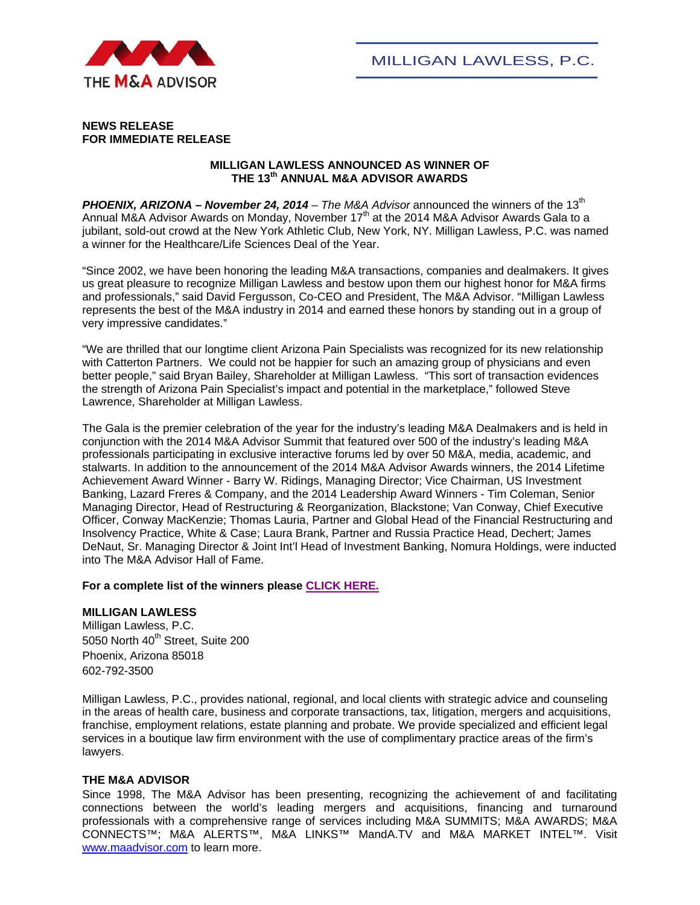

### **NEWS RELEASE FOR IMMEDIATE RELEASE**

# **MILLIGAN LAWLESS ANNOUNCED AS WINNER OF THE 13th ANNUAL M&A ADVISOR AWARDS**

**PHOENIX, ARIZONA – November 24, 2014** – The M&A Advisor announced the winners of the 13<sup>th</sup> Annual M&A Advisor Awards on Monday, November 17<sup>th</sup> at the 2014 M&A Advisor Awards Gala to a jubilant, sold-out crowd at the New York Athletic Club, New York, NY. Milligan Lawless, P.C. was named a winner for the Healthcare/Life Sciences Deal of the Year.

"Since 2002, we have been honoring the leading M&A transactions, companies and dealmakers. It gives us great pleasure to recognize Milligan Lawless and bestow upon them our highest honor for M&A firms and professionals," said David Fergusson, Co-CEO and President, The M&A Advisor. "Milligan Lawless represents the best of the M&A industry in 2014 and earned these honors by standing out in a group of very impressive candidates."

"We are thrilled that our longtime client Arizona Pain Specialists was recognized for its new relationship with Catterton Partners. We could not be happier for such an amazing group of physicians and even better people," said Bryan Bailey, Shareholder at Milligan Lawless. "This sort of transaction evidences the strength of Arizona Pain Specialist's impact and potential in the marketplace," followed Steve Lawrence, Shareholder at Milligan Lawless.

The Gala is the premier celebration of the year for the industry's leading M&A Dealmakers and is held in conjunction with the 2014 M&A Advisor Summit that featured over 500 of the industry's leading M&A professionals participating in exclusive interactive forums led by over 50 M&A, media, academic, and stalwarts. In addition to the announcement of the 2014 M&A Advisor Awards winners, the 2014 Lifetime Achievement Award Winner - Barry W. Ridings, Managing Director; Vice Chairman, US Investment Banking, Lazard Freres & Company, and the 2014 Leadership Award Winners - Tim Coleman, Senior Managing Director, Head of Restructuring & Reorganization, Blackstone; Van Conway, Chief Executive Officer, Conway MacKenzie; Thomas Lauria, Partner and Global Head of the Financial Restructuring and Insolvency Practice, White & Case; Laura Brank, Partner and Russia Practice Head, Dechert; James DeNaut, Sr. Managing Director & Joint Int'l Head of Investment Banking, Nomura Holdings, were inducted into The M&A Advisor Hall of Fame.

### **For a complete list of the winners please [CLICK HERE.](http://maadvisor.net/MANY/MANY-2014/Winners-PR-and-Kit/2014_MANY_Winners_PR_backend.pdf)**

### **MILLIGAN LAWLESS**

Milligan Lawless, P.C. 5050 North 40<sup>th</sup> Street, Suite 200 Phoenix, Arizona 85018 602-792-3500

Milligan Lawless, P.C., provides national, regional, and local clients with strategic advice and counseling in the areas of health care, business and corporate transactions, tax, litigation, mergers and acquisitions, franchise, employment relations, estate planning and probate. We provide specialized and efficient legal services in a boutique law firm environment with the use of complimentary practice areas of the firm's lawyers.

# **THE M&A ADVISOR**

Since 1998, The M&A Advisor has been presenting, recognizing the achievement of and facilitating connections between the world's leading mergers and acquisitions, financing and turnaround professionals with a comprehensive range of services including M&A SUMMITS; M&A AWARDS; M&A CONNECTS™; M&A ALERTS™, M&A LINKS™ MandA.TV and M&A MARKET INTEL™. Visit www.maadvisor.com to learn more.